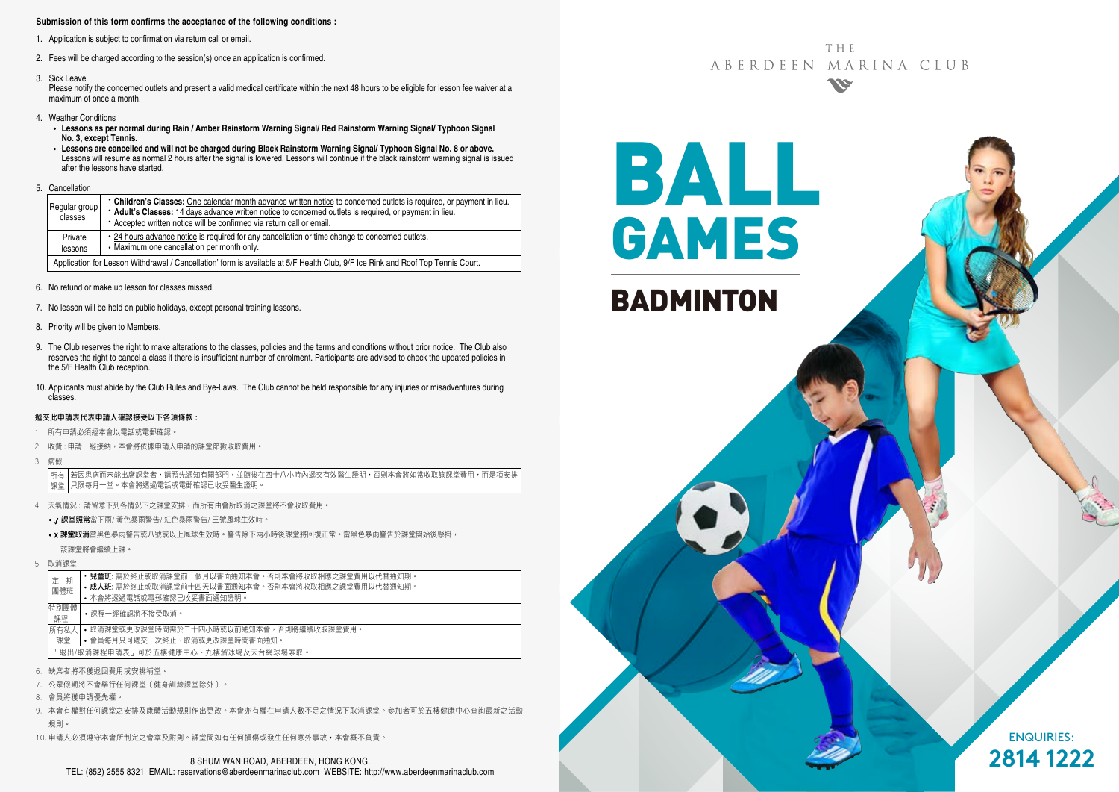#### **Submission of this form confirms the acceptance of the following conditions :**

- 1. Application is subject to confirmation via return call or email.
- 2. Fees will be charged according to the session(s) once an application is confirmed.
- 3. Sick Leave

Please notify the concerned outlets and present a valid medical certificate within the next 48 hours to be eligible for lesson fee waiver at a maximum of once a month.

- 4. Weather Conditions
	- **Lessons as per normal during Rain / Amber Rainstorm Warning Signal/ Red Rainstorm Warning Signal/ Typhoon Signal No. 3, except Tennis.**
	- **Lessons are cancelled and will not be charged during Black Rainstorm Warning Signal/ Typhoon Signal No. 8 or above.** Lessons will resume as normal 2 hours after the signal is lowered. Lessons will continue if the black rainstorm warning signal is issued after the lessons have started.
- 5. Cancellation

| Regular group<br>classes                                                                                                        | • Children's Classes: One calendar month advance written notice to concerned outlets is required, or payment in lieu.<br>* Adult's Classes: 14 days advance written notice to concerned outlets is required, or payment in lieu.<br>• Accepted written notice will be confirmed via return call or email. |  |  |  |
|---------------------------------------------------------------------------------------------------------------------------------|-----------------------------------------------------------------------------------------------------------------------------------------------------------------------------------------------------------------------------------------------------------------------------------------------------------|--|--|--|
| Private<br>lessons                                                                                                              | • 24 hours advance notice is required for any cancellation or time change to concerned outlets.<br>• Maximum one cancellation per month only.                                                                                                                                                             |  |  |  |
| Application for Lesson Withdrawal / Cancellation' form is available at 5/F Health Club. 9/F Ice Rink and Roof Top Tennis Court. |                                                                                                                                                                                                                                                                                                           |  |  |  |

- 6. No refund or make up lesson for classes missed.
- 7. No lesson will be held on public holidays, except personal training lessons.
- 8. Priority will be given to Members.
- 9. The Club reserves the right to make alterations to the classes, policies and the terms and conditions without prior notice. The Club also reserves the right to cancel a class if there is insufficient number of enrolment. Participants are advised to check the updated policies in the 5/F Health Club reception.
- 10. Applicants must abide by the Club Rules and Bye-Laws. The Club cannot be held responsible for any injuries or misadventures during classes.

#### 遞交此申請表代表申請人確認接受以下各項條款 :

- 1. 所有申請必須經本會以電話或電郵確認。
- 2. 收費: 申請一經接納, 本會將依據申請人申請的課堂節數收取費用,
- 3. 病假

若因患病而未能出席課堂者,請預先通知有關部門,並隨後在四十八小時內遞交有效醫生證明,否則本會將如常收取該課堂費用,而是項安排 只限每月一堂。本會將透過電話或電郵確認已收妥醫生證明。 所有 課堂

- 4. 天氣情況 : 請留意下列各情況下之課堂安排,而所有由會所取消之課堂將不會收取費用。
	- / 課堂照常當下雨/ 黃色暴雨警告/ 紅色暴雨警告/ 三號風球生效時。
	- x 課堂取消當黑色暴雨警告或八號或以上風球生效時。警告除下兩小時後課堂將回復正常。當黑色暴雨警告於課堂開始後懸掛, 該課堂將會繼續上課。
- 5. 取消課堂

| 期<br>定                              | • 兒童班: 需於終止或取消課堂前一個月以書面通知本會。否則本會將收取相應之課堂費用以代替通知期。 |  |  |  |
|-------------------------------------|---------------------------------------------------|--|--|--|
| 團體班                                 | • 成人班: 需於終止或取消課堂前十四天以書面通知本會。否則本會將收取相應之課堂費用以代替通知期。 |  |  |  |
|                                     | • 本會將诱過電話或電郵確認已收妥書面通知證明。                          |  |  |  |
| 特別團體<br>課程                          | •課程一經確認將不接受取消。                                    |  |  |  |
| 所有私人                                | • 取消課堂或更改課堂時間需於二十四小時或以前捅知本會,否則將繼續收取課堂費用。          |  |  |  |
| 課堂                                  | • 會員每月只可遞交一次終止、取消或更改課堂時間書面通知。                     |  |  |  |
| 「狠出/取消課程申請表,可於五樓健康中心、九樓溜冰場及天台網球場索取。 |                                                   |  |  |  |
|                                     |                                                   |  |  |  |

- 6. 缺席者將不獲退回費用或安排補堂。
- 7. 公眾假期將不會舉行任何課堂﹝健身訓練課堂除外﹞。
- 8. 會員將獲申請優先權。
- 9. 本會有權對任何課堂之安排及康體活動規則作出更改。本會亦有權在申請人數不足之情況下取消課堂。參加者可於五樓健康中心查詢最新之活動 規則。
- 10. 申請人必須遵守本會所制定之會章及附則。課堂間如有任何損傷或發生任何意外事故,本會概不負責。